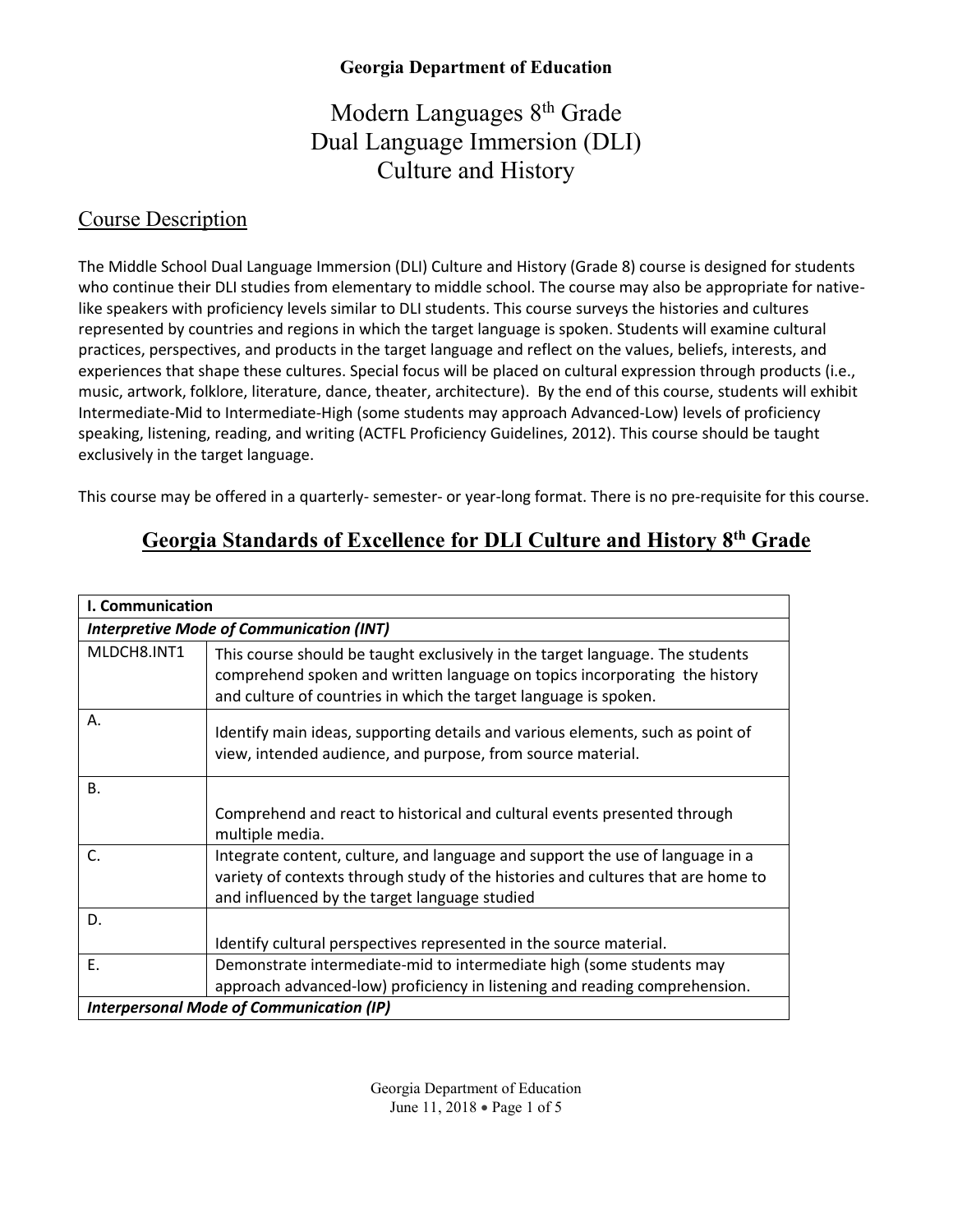# Modern Languages 8<sup>th</sup> Grade Dual Language Immersion (DLI) Culture and History

#### Course Description

The Middle School Dual Language Immersion (DLI) Culture and History (Grade 8) course is designed for students who continue their DLI studies from elementary to middle school. The course may also be appropriate for nativelike speakers with proficiency levels similar to DLI students. This course surveys the histories and cultures represented by countries and regions in which the target language is spoken. Students will examine cultural practices, perspectives, and products in the target language and reflect on the values, beliefs, interests, and experiences that shape these cultures. Special focus will be placed on cultural expression through products (i.e., music, artwork, folklore, literature, dance, theater, architecture). By the end of this course, students will exhibit Intermediate-Mid to Intermediate-High (some students may approach Advanced-Low) levels of proficiency speaking, listening, reading, and writing (ACTFL Proficiency Guidelines, 2012). This course should be taught exclusively in the target language.

This course may be offered in a quarterly- semester- or year-long format. There is no pre-requisite for this course.

## **Georgia Standards of Excellence for DLI Culture and History 8th Grade**

| I. Communication                                |                                                                                                                                                                                                                                 |  |
|-------------------------------------------------|---------------------------------------------------------------------------------------------------------------------------------------------------------------------------------------------------------------------------------|--|
| <b>Interpretive Mode of Communication (INT)</b> |                                                                                                                                                                                                                                 |  |
| MLDCH8.INT1                                     | This course should be taught exclusively in the target language. The students<br>comprehend spoken and written language on topics incorporating the history<br>and culture of countries in which the target language is spoken. |  |
| Α.                                              | Identify main ideas, supporting details and various elements, such as point of<br>view, intended audience, and purpose, from source material.                                                                                   |  |
| <b>B.</b>                                       |                                                                                                                                                                                                                                 |  |
|                                                 | Comprehend and react to historical and cultural events presented through<br>multiple media.                                                                                                                                     |  |
| C.                                              | Integrate content, culture, and language and support the use of language in a<br>variety of contexts through study of the histories and cultures that are home to<br>and influenced by the target language studied              |  |
| D.                                              |                                                                                                                                                                                                                                 |  |
|                                                 | Identify cultural perspectives represented in the source material.                                                                                                                                                              |  |
| Ε.                                              | Demonstrate intermediate-mid to intermediate high (some students may                                                                                                                                                            |  |
|                                                 | approach advanced-low) proficiency in listening and reading comprehension.                                                                                                                                                      |  |
| <b>Interpersonal Mode of Communication (IP)</b> |                                                                                                                                                                                                                                 |  |

Georgia Department of Education June 11, 2018 • Page 1 of 5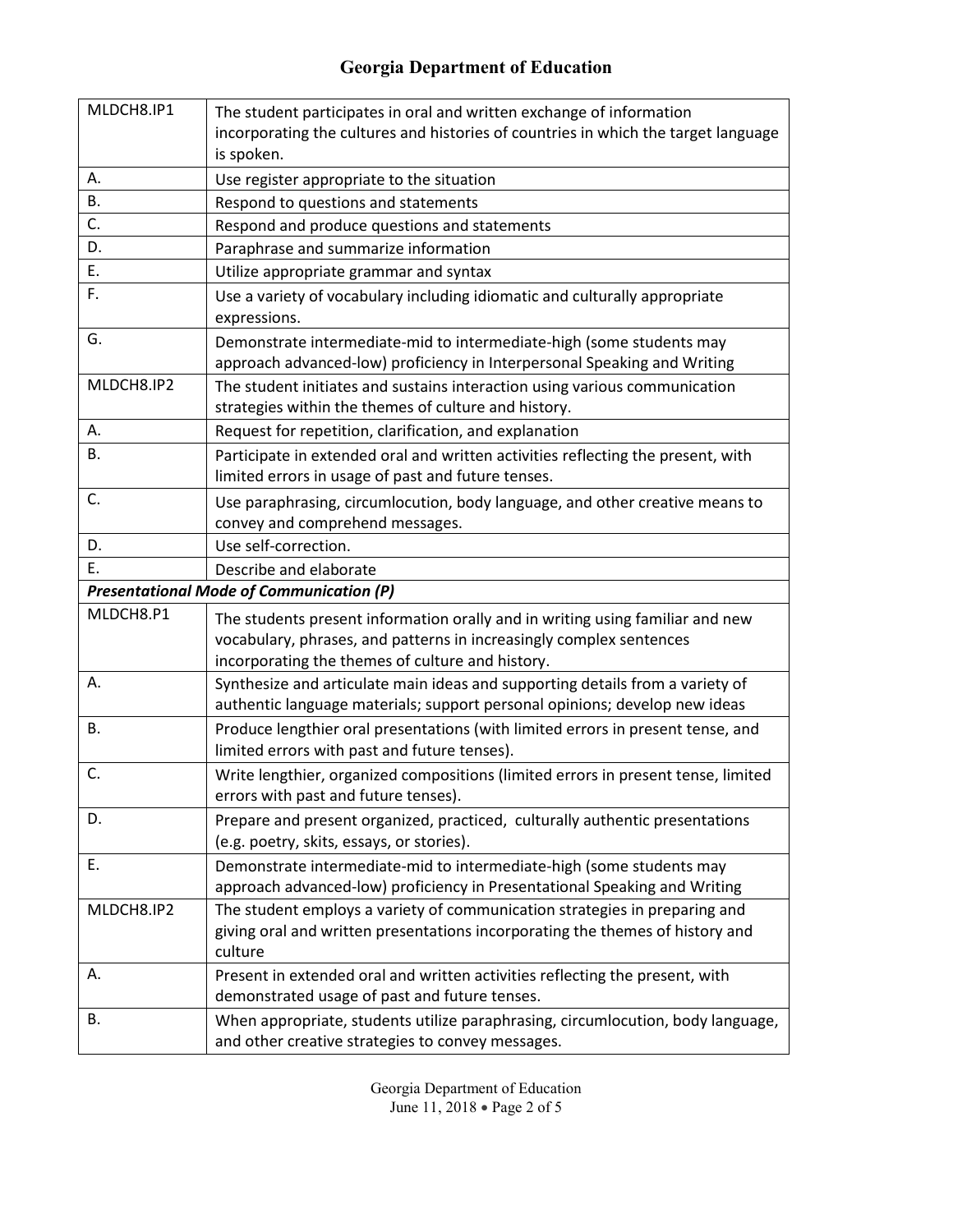| MLDCH8.IP1                                      | The student participates in oral and written exchange of information<br>incorporating the cultures and histories of countries in which the target language<br>is spoken.                                        |  |
|-------------------------------------------------|-----------------------------------------------------------------------------------------------------------------------------------------------------------------------------------------------------------------|--|
| Α.                                              | Use register appropriate to the situation                                                                                                                                                                       |  |
| В.                                              | Respond to questions and statements                                                                                                                                                                             |  |
| C.                                              | Respond and produce questions and statements                                                                                                                                                                    |  |
| D.                                              | Paraphrase and summarize information                                                                                                                                                                            |  |
| Ε.                                              | Utilize appropriate grammar and syntax                                                                                                                                                                          |  |
| F.                                              | Use a variety of vocabulary including idiomatic and culturally appropriate<br>expressions.                                                                                                                      |  |
| G.                                              | Demonstrate intermediate-mid to intermediate-high (some students may<br>approach advanced-low) proficiency in Interpersonal Speaking and Writing                                                                |  |
| MLDCH8.IP2                                      | The student initiates and sustains interaction using various communication<br>strategies within the themes of culture and history.                                                                              |  |
| А.                                              | Request for repetition, clarification, and explanation                                                                                                                                                          |  |
| <b>B.</b>                                       | Participate in extended oral and written activities reflecting the present, with<br>limited errors in usage of past and future tenses.                                                                          |  |
| C.                                              | Use paraphrasing, circumlocution, body language, and other creative means to<br>convey and comprehend messages.                                                                                                 |  |
| D.                                              | Use self-correction.                                                                                                                                                                                            |  |
| Ε.                                              | Describe and elaborate                                                                                                                                                                                          |  |
| <b>Presentational Mode of Communication (P)</b> |                                                                                                                                                                                                                 |  |
|                                                 |                                                                                                                                                                                                                 |  |
| MLDCH8.P1                                       | The students present information orally and in writing using familiar and new<br>vocabulary, phrases, and patterns in increasingly complex sentences                                                            |  |
| А.                                              | incorporating the themes of culture and history.<br>Synthesize and articulate main ideas and supporting details from a variety of<br>authentic language materials; support personal opinions; develop new ideas |  |
| В.                                              | Produce lengthier oral presentations (with limited errors in present tense, and<br>limited errors with past and future tenses).                                                                                 |  |
| C.                                              | Write lengthier, organized compositions (limited errors in present tense, limited<br>errors with past and future tenses).                                                                                       |  |
| D.                                              | Prepare and present organized, practiced, culturally authentic presentations<br>(e.g. poetry, skits, essays, or stories).                                                                                       |  |
| Ε.                                              | Demonstrate intermediate-mid to intermediate-high (some students may<br>approach advanced-low) proficiency in Presentational Speaking and Writing                                                               |  |
| MLDCH8.IP2                                      | The student employs a variety of communication strategies in preparing and<br>giving oral and written presentations incorporating the themes of history and<br>culture                                          |  |
| А.                                              | Present in extended oral and written activities reflecting the present, with<br>demonstrated usage of past and future tenses.                                                                                   |  |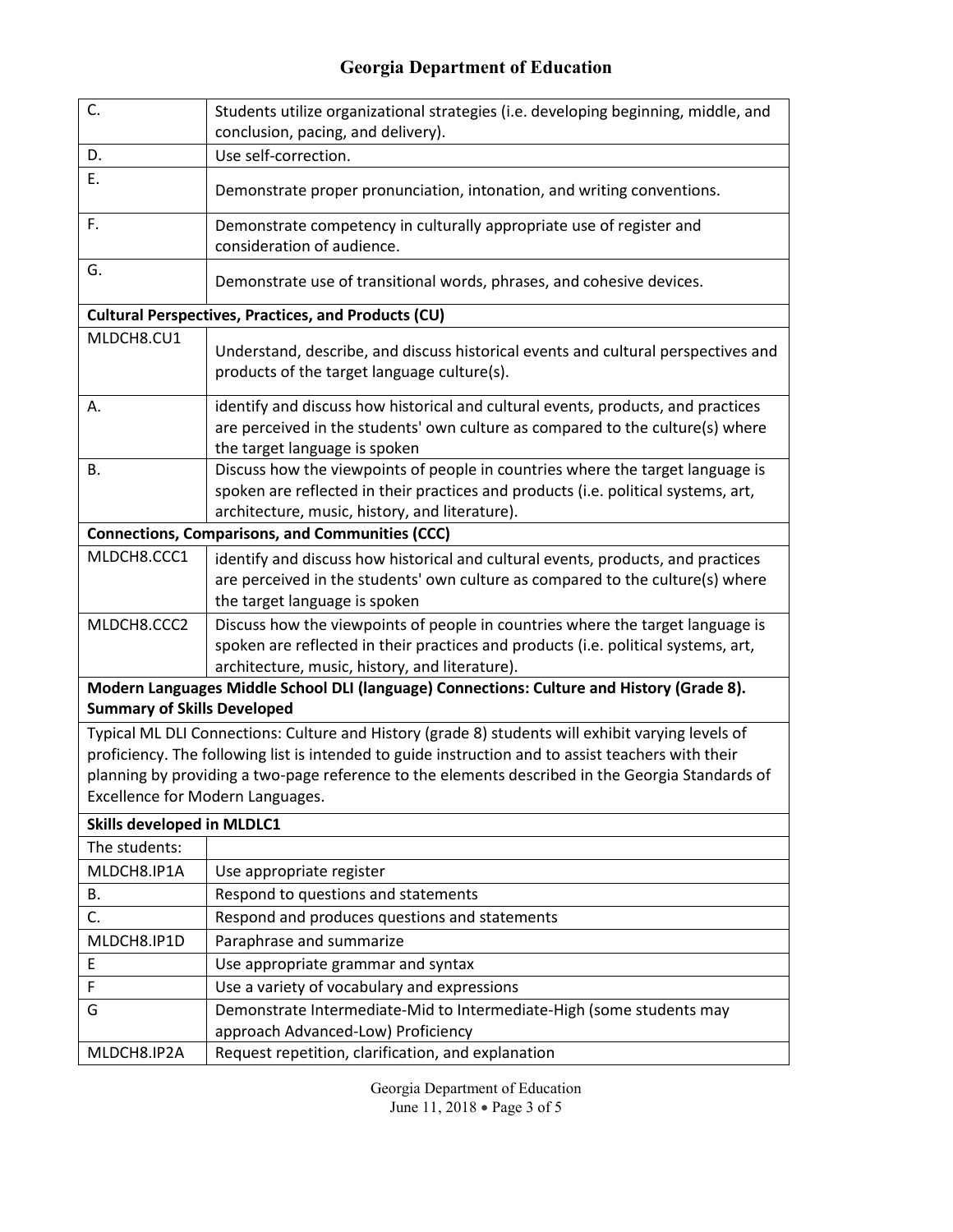| C.                                                                                                                                                                                                                                                                                                                                              | Students utilize organizational strategies (i.e. developing beginning, middle, and<br>conclusion, pacing, and delivery).                                                                                               |  |
|-------------------------------------------------------------------------------------------------------------------------------------------------------------------------------------------------------------------------------------------------------------------------------------------------------------------------------------------------|------------------------------------------------------------------------------------------------------------------------------------------------------------------------------------------------------------------------|--|
| D.                                                                                                                                                                                                                                                                                                                                              | Use self-correction.                                                                                                                                                                                                   |  |
| Ε.                                                                                                                                                                                                                                                                                                                                              | Demonstrate proper pronunciation, intonation, and writing conventions.                                                                                                                                                 |  |
| F.                                                                                                                                                                                                                                                                                                                                              | Demonstrate competency in culturally appropriate use of register and<br>consideration of audience.                                                                                                                     |  |
| G.                                                                                                                                                                                                                                                                                                                                              | Demonstrate use of transitional words, phrases, and cohesive devices.                                                                                                                                                  |  |
|                                                                                                                                                                                                                                                                                                                                                 | <b>Cultural Perspectives, Practices, and Products (CU)</b>                                                                                                                                                             |  |
| MLDCH8.CU1                                                                                                                                                                                                                                                                                                                                      | Understand, describe, and discuss historical events and cultural perspectives and<br>products of the target language culture(s).                                                                                       |  |
| А.                                                                                                                                                                                                                                                                                                                                              | identify and discuss how historical and cultural events, products, and practices<br>are perceived in the students' own culture as compared to the culture(s) where<br>the target language is spoken                    |  |
| В.                                                                                                                                                                                                                                                                                                                                              | Discuss how the viewpoints of people in countries where the target language is<br>spoken are reflected in their practices and products (i.e. political systems, art,<br>architecture, music, history, and literature). |  |
|                                                                                                                                                                                                                                                                                                                                                 | <b>Connections, Comparisons, and Communities (CCC)</b>                                                                                                                                                                 |  |
| MLDCH8.CCC1                                                                                                                                                                                                                                                                                                                                     | identify and discuss how historical and cultural events, products, and practices<br>are perceived in the students' own culture as compared to the culture(s) where<br>the target language is spoken                    |  |
| MLDCH8.CCC2                                                                                                                                                                                                                                                                                                                                     | Discuss how the viewpoints of people in countries where the target language is<br>spoken are reflected in their practices and products (i.e. political systems, art,<br>architecture, music, history, and literature). |  |
| Modern Languages Middle School DLI (language) Connections: Culture and History (Grade 8).<br><b>Summary of Skills Developed</b>                                                                                                                                                                                                                 |                                                                                                                                                                                                                        |  |
| Typical ML DLI Connections: Culture and History (grade 8) students will exhibit varying levels of<br>proficiency. The following list is intended to guide instruction and to assist teachers with their<br>planning by providing a two-page reference to the elements described in the Georgia Standards of<br>Excellence for Modern Languages. |                                                                                                                                                                                                                        |  |
| <b>Skills developed in MLDLC1</b>                                                                                                                                                                                                                                                                                                               |                                                                                                                                                                                                                        |  |
| The students:                                                                                                                                                                                                                                                                                                                                   |                                                                                                                                                                                                                        |  |
| MLDCH8.IP1A                                                                                                                                                                                                                                                                                                                                     | Use appropriate register                                                                                                                                                                                               |  |
| В.                                                                                                                                                                                                                                                                                                                                              | Respond to questions and statements                                                                                                                                                                                    |  |
| C.                                                                                                                                                                                                                                                                                                                                              | Respond and produces questions and statements                                                                                                                                                                          |  |
| MLDCH8.IP1D                                                                                                                                                                                                                                                                                                                                     | Paraphrase and summarize                                                                                                                                                                                               |  |
| E                                                                                                                                                                                                                                                                                                                                               | Use appropriate grammar and syntax                                                                                                                                                                                     |  |
| F                                                                                                                                                                                                                                                                                                                                               | Use a variety of vocabulary and expressions                                                                                                                                                                            |  |
| G                                                                                                                                                                                                                                                                                                                                               | Demonstrate Intermediate-Mid to Intermediate-High (some students may<br>approach Advanced-Low) Proficiency                                                                                                             |  |
| MLDCH8.IP2A                                                                                                                                                                                                                                                                                                                                     | Request repetition, clarification, and explanation                                                                                                                                                                     |  |

Georgia Department of Education June 11, 2018 • Page 3 of 5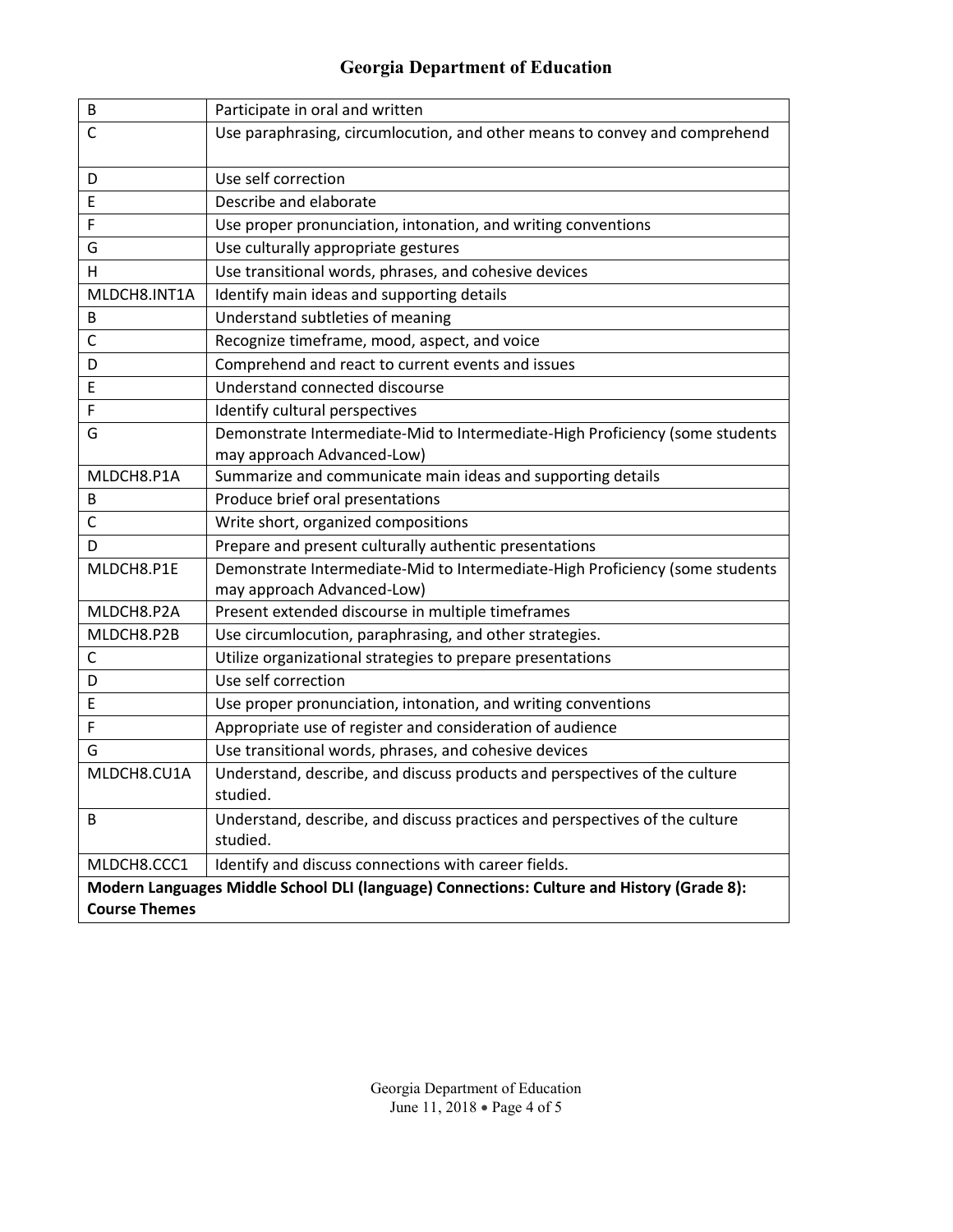| B                                                                                         | Participate in oral and written                                                         |  |
|-------------------------------------------------------------------------------------------|-----------------------------------------------------------------------------------------|--|
| С                                                                                         | Use paraphrasing, circumlocution, and other means to convey and comprehend              |  |
| D                                                                                         | Use self correction                                                                     |  |
| Ε                                                                                         | Describe and elaborate                                                                  |  |
| F                                                                                         | Use proper pronunciation, intonation, and writing conventions                           |  |
| G                                                                                         | Use culturally appropriate gestures                                                     |  |
| Н                                                                                         | Use transitional words, phrases, and cohesive devices                                   |  |
| MLDCH8.INT1A                                                                              | Identify main ideas and supporting details                                              |  |
| В                                                                                         | Understand subtleties of meaning                                                        |  |
| C                                                                                         | Recognize timeframe, mood, aspect, and voice                                            |  |
| D                                                                                         | Comprehend and react to current events and issues                                       |  |
| Ε                                                                                         | Understand connected discourse                                                          |  |
| F                                                                                         | Identify cultural perspectives                                                          |  |
| G                                                                                         | Demonstrate Intermediate-Mid to Intermediate-High Proficiency (some students            |  |
|                                                                                           | may approach Advanced-Low)                                                              |  |
| MLDCH8.P1A                                                                                | Summarize and communicate main ideas and supporting details                             |  |
| В                                                                                         | Produce brief oral presentations                                                        |  |
| C                                                                                         | Write short, organized compositions                                                     |  |
| D                                                                                         | Prepare and present culturally authentic presentations                                  |  |
| MLDCH8.P1E                                                                                | Demonstrate Intermediate-Mid to Intermediate-High Proficiency (some students            |  |
|                                                                                           | may approach Advanced-Low)                                                              |  |
| MLDCH8.P2A                                                                                | Present extended discourse in multiple timeframes                                       |  |
| MLDCH8.P2B                                                                                | Use circumlocution, paraphrasing, and other strategies.                                 |  |
| C                                                                                         | Utilize organizational strategies to prepare presentations                              |  |
| D                                                                                         | Use self correction                                                                     |  |
| Ε                                                                                         | Use proper pronunciation, intonation, and writing conventions                           |  |
| F                                                                                         | Appropriate use of register and consideration of audience                               |  |
| G                                                                                         | Use transitional words, phrases, and cohesive devices                                   |  |
| MLDCH8.CU1A                                                                               | Understand, describe, and discuss products and perspectives of the culture              |  |
|                                                                                           | studied.                                                                                |  |
| В                                                                                         | Understand, describe, and discuss practices and perspectives of the culture<br>studied. |  |
| MLDCH8.CCC1                                                                               | Identify and discuss connections with career fields.                                    |  |
| Modern Languages Middle School DLI (language) Connections: Culture and History (Grade 8): |                                                                                         |  |
| <b>Course Themes</b>                                                                      |                                                                                         |  |